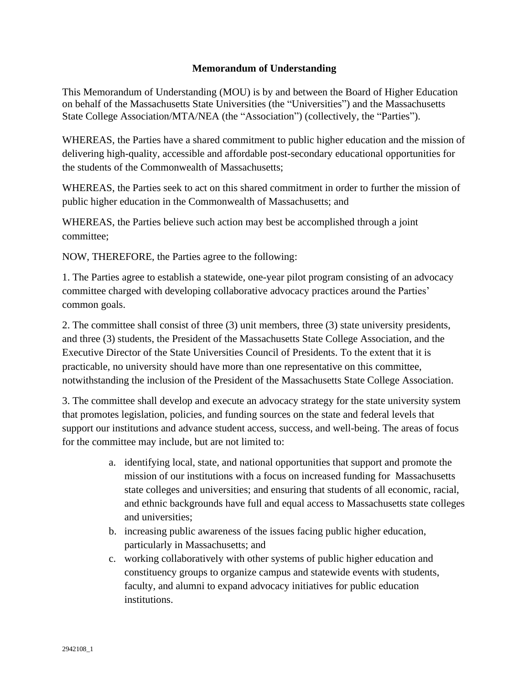## **Memorandum of Understanding**

This Memorandum of Understanding (MOU) is by and between the Board of Higher Education on behalf of the Massachusetts State Universities (the "Universities") and the Massachusetts State College Association/MTA/NEA (the "Association") (collectively, the "Parties").

WHEREAS, the Parties have a shared commitment to public higher education and the mission of delivering high-quality, accessible and affordable post-secondary educational opportunities for the students of the Commonwealth of Massachusetts;

WHEREAS, the Parties seek to act on this shared commitment in order to further the mission of public higher education in the Commonwealth of Massachusetts; and

WHEREAS, the Parties believe such action may best be accomplished through a joint committee;

NOW, THEREFORE, the Parties agree to the following:

1. The Parties agree to establish a statewide, one-year pilot program consisting of an advocacy committee charged with developing collaborative advocacy practices around the Parties' common goals.

2. The committee shall consist of three (3) unit members, three (3) state university presidents, and three (3) students, the President of the Massachusetts State College Association, and the Executive Director of the State Universities Council of Presidents. To the extent that it is practicable, no university should have more than one representative on this committee, notwithstanding the inclusion of the President of the Massachusetts State College Association.

3. The committee shall develop and execute an advocacy strategy for the state university system that promotes legislation, policies, and funding sources on the state and federal levels that support our institutions and advance student access, success, and well-being. The areas of focus for the committee may include, but are not limited to:

- a. identifying local, state, and national opportunities that support and promote the mission of our institutions with a focus on increased funding for Massachusetts state colleges and universities; and ensuring that students of all economic, racial, and ethnic backgrounds have full and equal access to Massachusetts state colleges and universities;
- b. increasing public awareness of the issues facing public higher education, particularly in Massachusetts; and
- c. working collaboratively with other systems of public higher education and constituency groups to organize campus and statewide events with students, faculty, and alumni to expand advocacy initiatives for public education institutions.